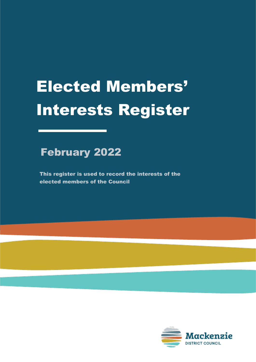## February 2022

This register is used to record the interests of the elected members of the Council

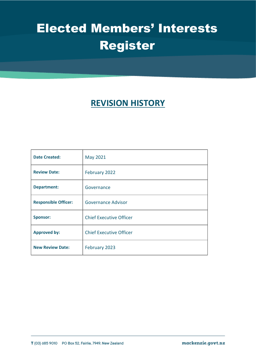## **REVISION HISTORY**

| <b>Date Created:</b>        | May 2021                       |
|-----------------------------|--------------------------------|
| <b>Review Date:</b>         | February 2022                  |
| <b>Department:</b>          | Governance                     |
| <b>Responsible Officer:</b> | Governance Advisor             |
| <b>Sponsor:</b>             | <b>Chief Executive Officer</b> |
| <b>Approved by:</b>         | <b>Chief Executive Officer</b> |
| <b>New Review Date:</b>     | February 2023                  |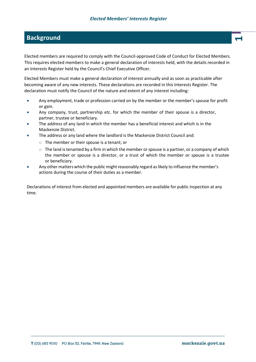#### **Background <sup>1</sup>**

Elected members are required to comply with the Council-approved Code of Conduct for Elected Members. This requires elected members to make a general declaration of interests held, with the details recorded in an Interests Register held by the Council's Chief Executive Officer.

Elected Members must make a general declaration of interest annually and as soon as practicable after becoming aware of any new interests. These declarations are recorded in this Interests Register. The declaration must notify the Council of the nature and extent of any interest including:

- Any employment, trade or profession carried on by the member or the member's spouse for profit or gain.
- Any company, trust, partnership etc. for which the member of their spouse is a director, partner, trustee or beneficiary.
- The address of any land in which the member has a beneficial interest and which is in the Mackenzie District.
- The address or any land where the landlord is the Mackenzie District Council and:
	- $\circ$  The member or their spouse is a tenant; or
	- $\circ$  The land is tenanted by a firm in which the member or spouse is a partner, or a company of which the member or spouse is a director, or a trust of which the member or spouse is a trustee or beneficiary.
- Any other matters which the public might reasonably regard as likely to influence the member's actions during the course of their duties as a member.

Declarations of interest from elected and appointed members are available for public inspection at any time.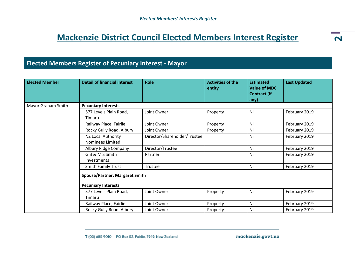## **Mackenzie District Council Elected Members Interest Register**

#### **Elected Members Register of Pecuniary Interest - Mayor**

| <b>Elected Member</b> | <b>Detail of financial interest</b>    | Role                         | <b>Activities of the</b><br>entity | <b>Estimated</b><br><b>Value of MDC</b><br><b>Contract (if</b><br>any) | <b>Last Updated</b> |  |  |
|-----------------------|----------------------------------------|------------------------------|------------------------------------|------------------------------------------------------------------------|---------------------|--|--|
| Mayor Graham Smith    | <b>Pecuniary Interests</b>             |                              |                                    |                                                                        |                     |  |  |
|                       | 577 Levels Plain Road,<br>Timaru       | Joint Owner                  | Property                           | Nil                                                                    | February 2019       |  |  |
|                       | Railway Place, Fairlie                 | Joint Owner                  | Property                           | Nil                                                                    | February 2019       |  |  |
|                       | Rocky Gully Road, Albury               | Joint Owner                  | Property                           | Nil                                                                    | February 2019       |  |  |
|                       | NZ Local Authority<br>Nominees Limited | Director/Shareholder/Trustee |                                    | Nil                                                                    | February 2019       |  |  |
|                       | Albury Ridge Company                   | Director/Trustee             |                                    | Nil                                                                    | February 2019       |  |  |
|                       | GB&MSSmith<br>Investments              | Partner                      |                                    | Nil                                                                    | February 2019       |  |  |
|                       | <b>Smith Family Trust</b>              | Trustee                      |                                    | Nil                                                                    | February 2019       |  |  |
|                       | <b>Spouse/Partner: Margaret Smith</b>  |                              |                                    |                                                                        |                     |  |  |
|                       | <b>Pecuniary Interests</b>             |                              |                                    |                                                                        |                     |  |  |
|                       | 577 Levels Plain Road,<br>Timaru       | Joint Owner                  | Property                           | Nil                                                                    | February 2019       |  |  |
|                       | Railway Place, Fairlie                 | Joint Owner                  | Property                           | Nil                                                                    | February 2019       |  |  |
|                       | Rocky Gully Road, Albury               | Joint Owner                  | Property                           | Nil                                                                    | February 2019       |  |  |

mackenzie.govt.nz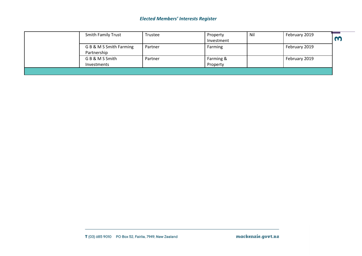| <b>Smith Family Trust</b>              | Trustee | Property<br>Investment | Nil | February 2019 |  |
|----------------------------------------|---------|------------------------|-----|---------------|--|
| G B & M S Smith Farming<br>Partnership | Partner | Farming                |     | February 2019 |  |
| G B & M S Smith<br>Investments         | Partner | Farming &<br>Property  |     | February 2019 |  |
|                                        |         |                        |     |               |  |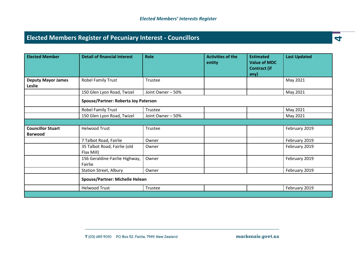## **Elected Members Register of Pecuniary Interest - Councillors 4**

| <b>Elected Member</b>               | <b>Detail of financial interest</b>        | Role              | <b>Activities of the</b><br>entity | <b>Estimated</b><br><b>Value of MDC</b><br><b>Contract (if</b><br>any) | <b>Last Updated</b> |  |
|-------------------------------------|--------------------------------------------|-------------------|------------------------------------|------------------------------------------------------------------------|---------------------|--|
| <b>Deputy Mayor James</b><br>Leslie | Robel Family Trust                         | Trustee           |                                    |                                                                        | May 2021            |  |
|                                     | 150 Glen Lyon Road, Twizel                 | Joint Owner - 50% |                                    |                                                                        | May 2021            |  |
|                                     | Spouse/Partner: Roberta Joy Paterson       |                   |                                    |                                                                        |                     |  |
|                                     | Robel Family Trust                         | Trustee           |                                    |                                                                        | May 2021            |  |
|                                     | 150 Glen Lyon Road, Twizel                 | Joint Owner - 50% |                                    |                                                                        | May 2021            |  |
|                                     |                                            |                   |                                    |                                                                        |                     |  |
| <b>Councillor Stuart</b>            | <b>Helwood Trust</b>                       | Trustee           |                                    |                                                                        | February 2019       |  |
| <b>Barwood</b>                      |                                            |                   |                                    |                                                                        |                     |  |
|                                     | 7 Talbot Road, Fairlie                     | Owner             |                                    |                                                                        | February 2019       |  |
|                                     | 35 Talbot Road, Fairlie (old<br>Flax Mill) | Owner             |                                    |                                                                        | February 2019       |  |
|                                     | 156 Geraldine-Fairlie Highway,<br>Fairlie  | Owner             |                                    |                                                                        | February 2019       |  |
|                                     | <b>Station Street, Albury</b>              | Owner             |                                    |                                                                        | February 2019       |  |
|                                     | <b>Spouse/Partner: Michelle Helean</b>     |                   |                                    |                                                                        |                     |  |
|                                     | <b>Helwood Trust</b>                       | Trustee           |                                    |                                                                        | February 2019       |  |
|                                     |                                            |                   |                                    |                                                                        |                     |  |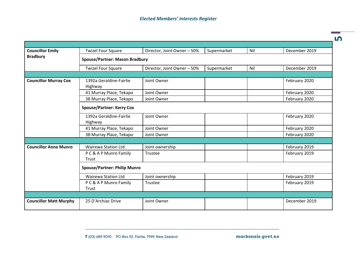| <b>Councillor Emily</b>       | <b>Twizel Four Square</b>           | Director, Joint Owner - 50%           | Supermarket | Nil | December 2019 |  |  |  |
|-------------------------------|-------------------------------------|---------------------------------------|-------------|-----|---------------|--|--|--|
| <b>Bradbury</b>               |                                     | <b>Spouse/Partner: Mason Bradbury</b> |             |     |               |  |  |  |
|                               | <b>Twizel Four Square</b>           | Director, Joint Owner - 50%           | Supermarket | Nil | December 2019 |  |  |  |
|                               |                                     |                                       |             |     |               |  |  |  |
| <b>Councillor Murray Cox</b>  | 1392a Geraldine-Fairlie<br>Highway  | Joint Owner                           |             |     | February 2020 |  |  |  |
|                               | 41 Murray Place, Tekapo             | Joint Owner                           |             |     | February 2020 |  |  |  |
|                               | 38 Murray Place, Tekapo             | Joint Owner                           |             |     | February 2020 |  |  |  |
|                               | <b>Spouse/Partner: Kerry Cox</b>    |                                       |             |     |               |  |  |  |
|                               | 1392a Geraldine-Fairlie<br>Highway  | Joint Owner                           |             |     | February 2020 |  |  |  |
|                               | 41 Murray Place, Tekapo             | Joint Owner                           |             |     | February 2020 |  |  |  |
|                               | 38 Murray Place, Tekapo             | Joint Owner                           |             |     | February 2020 |  |  |  |
|                               |                                     |                                       |             |     |               |  |  |  |
| <b>Councillor Anne Munro</b>  | <b>Wairewa Station Ltd</b>          | Joint ownership                       |             |     | February 2019 |  |  |  |
|                               | P C & A P Munro Family              | Trustee                               |             |     | February 2019 |  |  |  |
|                               | Trust                               |                                       |             |     |               |  |  |  |
|                               | <b>Spouse/Partner: Philip Munro</b> |                                       |             |     |               |  |  |  |
|                               | <b>Wairewa Station Ltd</b>          | Joint ownership                       |             |     | February 2019 |  |  |  |
|                               | PC& A P Munro Family<br>Trust       | Trustee                               |             |     | February 2019 |  |  |  |
|                               |                                     |                                       |             |     |               |  |  |  |
| <b>Councillor Matt Murphy</b> | 25 D'Archiac Drive                  | Joint Owner                           |             |     | December 2019 |  |  |  |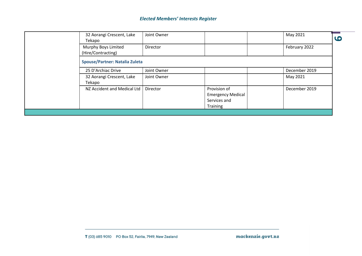| 32 Aorangi Crescent, Lake<br>Tekapo       | Joint Owner |                                                                      | May 2021      | C |
|-------------------------------------------|-------------|----------------------------------------------------------------------|---------------|---|
| Murphy Boys Limited<br>(Hire/Contracting) | Director    |                                                                      | February 2022 |   |
| <b>Spouse/Partner: Natalia Zuleta</b>     |             |                                                                      |               |   |
| 25 D'Archiac Drive                        | Joint Owner |                                                                      | December 2019 |   |
| 32 Aorangi Crescent, Lake<br>Tekapo       | Joint Owner |                                                                      | May 2021      |   |
| NZ Accident and Medical Ltd               | Director    | Provision of<br><b>Emergency Medical</b><br>Services and<br>Training | December 2019 |   |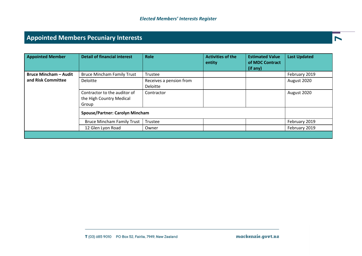## **Appointed Members Pecuniary Interests <sup>7</sup>**

| <b>Appointed Member</b>      | <b>Detail of financial interest</b>                               | Role                                | <b>Activities of the</b><br>entity | <b>Estimated Value</b><br>of MDC Contract<br>(if any) | <b>Last Updated</b> |
|------------------------------|-------------------------------------------------------------------|-------------------------------------|------------------------------------|-------------------------------------------------------|---------------------|
| <b>Bruce Mincham - Audit</b> | <b>Bruce Mincham Family Trust</b>                                 | Trustee                             |                                    |                                                       | February 2019       |
| and Risk Committee           | <b>Deloitte</b>                                                   | Receives a pension from<br>Deloitte |                                    |                                                       | August 2020         |
|                              | Contractor to the auditor of<br>the High Country Medical<br>Group | Contractor                          |                                    |                                                       | August 2020         |
|                              | <b>Spouse/Partner: Carolyn Mincham</b>                            |                                     |                                    |                                                       |                     |
|                              | <b>Bruce Mincham Family Trust</b>                                 | Trustee                             |                                    |                                                       | February 2019       |
|                              | 12 Glen Lyon Road                                                 | Owner                               |                                    |                                                       | February 2019       |
|                              |                                                                   |                                     |                                    |                                                       |                     |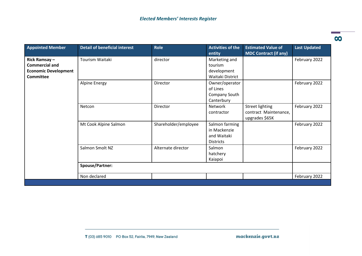| <b>Appointed Member</b>                                                                  | <b>Detail of beneficial interest</b> | Role                 | <b>Activities of the</b><br>entity                                | <b>Estimated Value of</b><br><b>MDC Contract (if any)</b>         | <b>Last Updated</b> |
|------------------------------------------------------------------------------------------|--------------------------------------|----------------------|-------------------------------------------------------------------|-------------------------------------------------------------------|---------------------|
| Rick Ramsay-<br><b>Commercial and</b><br><b>Economic Development</b><br><b>Committee</b> | Tourism Waitaki                      | director             | Marketing and<br>tourism<br>development<br>Waitaki District       |                                                                   | February 2022       |
|                                                                                          | <b>Alpine Energy</b>                 | Director             | Owner/operator<br>of Lines<br>Company South<br>Canterbury         |                                                                   | February 2022       |
|                                                                                          | Netcon                               | Director             | Network<br>contractor                                             | <b>Street lighting</b><br>contract Maintenance,<br>upgrades \$65K | February 2022       |
|                                                                                          | Mt Cook Alpine Salmon                | Shareholder/employee | Salmon farming<br>in Mackenzie<br>and Waitaki<br><b>Districts</b> |                                                                   | February 2022       |
|                                                                                          | Salmon Smolt NZ                      | Alternate director   | Salmon<br>hatchery<br>Kaiapoi                                     |                                                                   | February 2022       |
|                                                                                          | Spouse/Partner:                      |                      |                                                                   |                                                                   |                     |
|                                                                                          | Non declared                         |                      |                                                                   |                                                                   | February 2022       |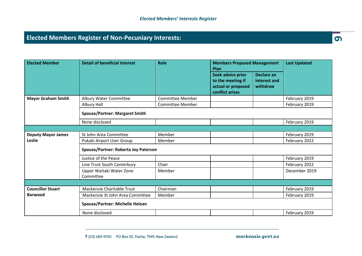## **Elected Members Register of Non-Pecuniary Interests: 9**

| <b>Elected Member</b>     | <b>Detail of beneficial interest</b>        | <b>Role</b>             | <b>Members Proposed Management</b><br>Plan                                      |                                        | <b>Last Updated</b> |
|---------------------------|---------------------------------------------|-------------------------|---------------------------------------------------------------------------------|----------------------------------------|---------------------|
|                           |                                             |                         | Seek advice prior<br>to the meeting if<br>actual or proposed<br>conflict arises | Declare an<br>interest and<br>withdraw |                     |
| <b>Mayor Graham Smith</b> | Albury Water Committee                      | <b>Committee Member</b> |                                                                                 |                                        | February 2019       |
|                           | Albury Hall                                 | <b>Committee Member</b> |                                                                                 |                                        | February 2019       |
|                           | <b>Spouse/Partner: Margaret Smith</b>       |                         |                                                                                 |                                        |                     |
|                           | None disclosed                              |                         |                                                                                 |                                        | February 2019       |
|                           |                                             |                         |                                                                                 |                                        |                     |
| <b>Deputy Mayor James</b> | St John Area Committee                      | Member                  |                                                                                 |                                        | February 2019       |
| Leslie                    | Pukaki Airport User Group                   | Member                  |                                                                                 |                                        | February 2022       |
|                           | <b>Spouse/Partner: Roberta Joy Paterson</b> |                         |                                                                                 |                                        |                     |
|                           | Justice of the Peace                        |                         |                                                                                 |                                        | February 2019       |
|                           | Line Trust South Canterbury                 | Chair                   |                                                                                 |                                        | February 2022       |
|                           | Upper Waitaki Water Zone<br>Committee       | Member                  |                                                                                 |                                        | December 2019       |
|                           |                                             |                         |                                                                                 |                                        |                     |
| <b>Councillor Stuart</b>  | Mackenzie Charitable Trust                  | Chairman                |                                                                                 |                                        | February 2019       |
| <b>Barwood</b>            | Mackenzie St John Area Committee            | Member                  |                                                                                 |                                        | February 2019       |
|                           | <b>Spouse/Partner: Michelle Helean</b>      |                         |                                                                                 |                                        |                     |
|                           | None disclosed                              |                         |                                                                                 |                                        | February 2019       |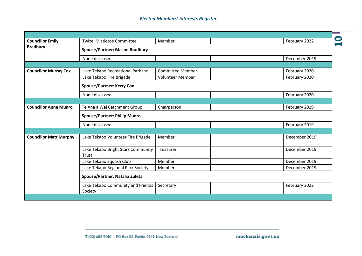|                               | <b>Twizel Mistletoe Committee</b>     | Member                  |  |               |  |
|-------------------------------|---------------------------------------|-------------------------|--|---------------|--|
| <b>Councillor Emily</b>       |                                       |                         |  | February 2022 |  |
| <b>Bradbury</b>               | <b>Spouse/Partner: Mason Bradbury</b> |                         |  |               |  |
|                               | None disclosed                        |                         |  | December 2019 |  |
|                               |                                       |                         |  |               |  |
| <b>Councillor Murray Cox</b>  | Lake Tekapo Recreational Park Inc     | <b>Committee Member</b> |  | February 2020 |  |
|                               | Lake Tekapo Fire Brigade              | Volunteer Member        |  | February 2020 |  |
|                               | <b>Spouse/Partner: Kerry Cox</b>      |                         |  |               |  |
|                               | None disclosed                        |                         |  | February 2020 |  |
|                               |                                       |                         |  |               |  |
| <b>Councillor Anne Munro</b>  | Te Ana a Wai Catchment Group          | Chairperson             |  | February 2019 |  |
|                               | <b>Spouse/Partner: Philip Munro</b>   |                         |  |               |  |
|                               | None disclosed                        |                         |  | February 2019 |  |
|                               |                                       |                         |  |               |  |
| <b>Councillor Matt Murphy</b> | Lake Tekapo Volunteer Fire Brigade    | Member                  |  | December 2019 |  |
|                               |                                       |                         |  |               |  |
|                               | Lake Tekapo Bright Stars Community    | Treasurer               |  | December 2019 |  |
|                               | Trust                                 |                         |  |               |  |
|                               | Lake Tekapo Squash Club               | Member                  |  | December 2019 |  |
|                               | Lake Tekapo Regional Park Society     | Member                  |  | December 2019 |  |
|                               | Spouse/Partner: Natalia Zuleta        |                         |  |               |  |
|                               | Lake Tekapo Community and Friends     | Secretary               |  | February 2022 |  |
|                               | Society                               |                         |  |               |  |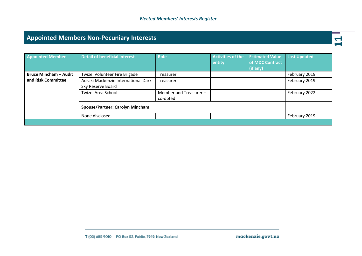## **Appointed Members Non-Pecuniary Interests**

| <b>Appointed Member</b>      | <b>Detail of beneficial interest</b>                     | <b>Role</b>                        | <b>Activities of the</b><br>entity | <b>Estimated Value</b><br>of MDC Contract<br>(if any) | <b>Last Updated</b> |
|------------------------------|----------------------------------------------------------|------------------------------------|------------------------------------|-------------------------------------------------------|---------------------|
| <b>Bruce Mincham - Audit</b> | Twizel Volunteer Fire Brigade                            | Treasurer                          |                                    |                                                       | February 2019       |
| and Risk Committee           | Aoraki Mackenzie International Dark<br>Sky Reserve Board | Treasurer                          |                                    |                                                       | February 2019       |
|                              | <b>Twizel Area School</b>                                | Member and Treasurer -<br>co-opted |                                    |                                                       | February 2022       |
|                              | <b>Spouse/Partner: Carolyn Mincham</b>                   |                                    |                                    |                                                       |                     |
|                              | None disclosed                                           |                                    |                                    |                                                       | February 2019       |
|                              |                                                          |                                    |                                    |                                                       |                     |